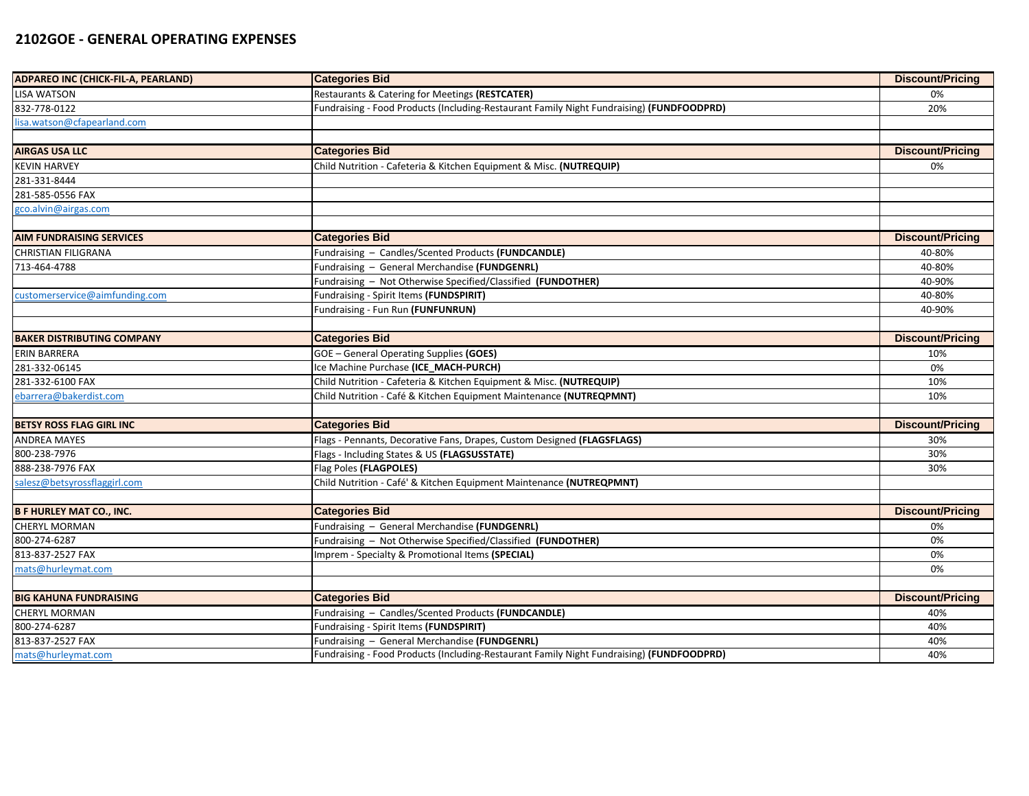## **2102GOE - GENERAL OPERATING EXPENSES**

| ADPAREO INC (CHICK-FIL-A, PEARLAND) | <b>Categories Bid</b>                                                                     | <b>Discount/Pricing</b> |
|-------------------------------------|-------------------------------------------------------------------------------------------|-------------------------|
| <b>LISA WATSON</b>                  | Restaurants & Catering for Meetings (RESTCATER)                                           | 0%                      |
| 832-778-0122                        | Fundraising - Food Products (Including-Restaurant Family Night Fundraising) (FUNDFOODPRD) | 20%                     |
| lisa.watson@cfapearland.com         |                                                                                           |                         |
|                                     |                                                                                           |                         |
| <b>AIRGAS USA LLC</b>               | <b>Categories Bid</b>                                                                     | <b>Discount/Pricing</b> |
| <b>KEVIN HARVEY</b>                 | Child Nutrition - Cafeteria & Kitchen Equipment & Misc. (NUTREQUIP)                       | 0%                      |
| 281-331-8444                        |                                                                                           |                         |
| 281-585-0556 FAX                    |                                                                                           |                         |
| gco.alvin@airgas.com                |                                                                                           |                         |
|                                     |                                                                                           |                         |
| <b>AIM FUNDRAISING SERVICES</b>     | <b>Categories Bid</b>                                                                     | <b>Discount/Pricing</b> |
| <b>CHRISTIAN FILIGRANA</b>          | Fundraising - Candles/Scented Products (FUNDCANDLE)                                       | 40-80%                  |
| 713-464-4788                        | Fundraising - General Merchandise (FUNDGENRL)                                             | 40-80%                  |
|                                     | Fundraising - Not Otherwise Specified/Classified (FUNDOTHER)                              | 40-90%                  |
| ustomerservice@aimfunding.com       | Fundraising - Spirit Items (FUNDSPIRIT)                                                   | 40-80%                  |
|                                     | Fundraising - Fun Run (FUNFUNRUN)                                                         | 40-90%                  |
|                                     |                                                                                           |                         |
| <b>BAKER DISTRIBUTING COMPANY</b>   | <b>Categories Bid</b>                                                                     | <b>Discount/Pricing</b> |
| <b>ERIN BARRERA</b>                 | GOE - General Operating Supplies (GOES)                                                   | 10%                     |
| 281-332-06145                       | Ice Machine Purchase (ICE_MACH-PURCH)                                                     | 0%                      |
| 281-332-6100 FAX                    | Child Nutrition - Cafeteria & Kitchen Equipment & Misc. (NUTREQUIP)                       | 10%                     |
| ebarrera@bakerdist.com              | Child Nutrition - Café & Kitchen Equipment Maintenance (NUTREQPMNT)                       | 10%                     |
|                                     |                                                                                           |                         |
| <b>BETSY ROSS FLAG GIRL INC</b>     | <b>Categories Bid</b>                                                                     | <b>Discount/Pricing</b> |
| <b>ANDREA MAYES</b>                 | Flags - Pennants, Decorative Fans, Drapes, Custom Designed (FLAGSFLAGS)                   | 30%                     |
| 800-238-7976                        | Flags - Including States & US (FLAGSUSSTATE)                                              | 30%                     |
| 888-238-7976 FAX                    | Flag Poles (FLAGPOLES)                                                                    | 30%                     |
| salesz@betsyrossflaggirl.com        | Child Nutrition - Café' & Kitchen Equipment Maintenance (NUTREQPMNT)                      |                         |
|                                     |                                                                                           |                         |
| <b>B F HURLEY MAT CO., INC.</b>     | <b>Categories Bid</b>                                                                     | <b>Discount/Pricing</b> |
| <b>CHERYL MORMAN</b>                | Fundraising - General Merchandise (FUNDGENRL)                                             | 0%                      |
| 800-274-6287                        | Fundraising - Not Otherwise Specified/Classified (FUNDOTHER)                              | 0%                      |
| 813-837-2527 FAX                    | Imprem - Specialty & Promotional Items (SPECIAL)                                          | 0%                      |
| mats@hurleymat.com                  |                                                                                           | 0%                      |
|                                     |                                                                                           |                         |
| <b>BIG KAHUNA FUNDRAISING</b>       | <b>Categories Bid</b>                                                                     | <b>Discount/Pricing</b> |
| <b>CHERYL MORMAN</b>                | Fundraising - Candles/Scented Products (FUNDCANDLE)                                       | 40%                     |
| 800-274-6287                        | Fundraising - Spirit Items (FUNDSPIRIT)                                                   | 40%                     |
| 813-837-2527 FAX                    | Fundraising - General Merchandise (FUNDGENRL)                                             | 40%                     |
| mats@hurleymat.com                  | Fundraising - Food Products (Including-Restaurant Family Night Fundraising) (FUNDFOODPRD) | 40%                     |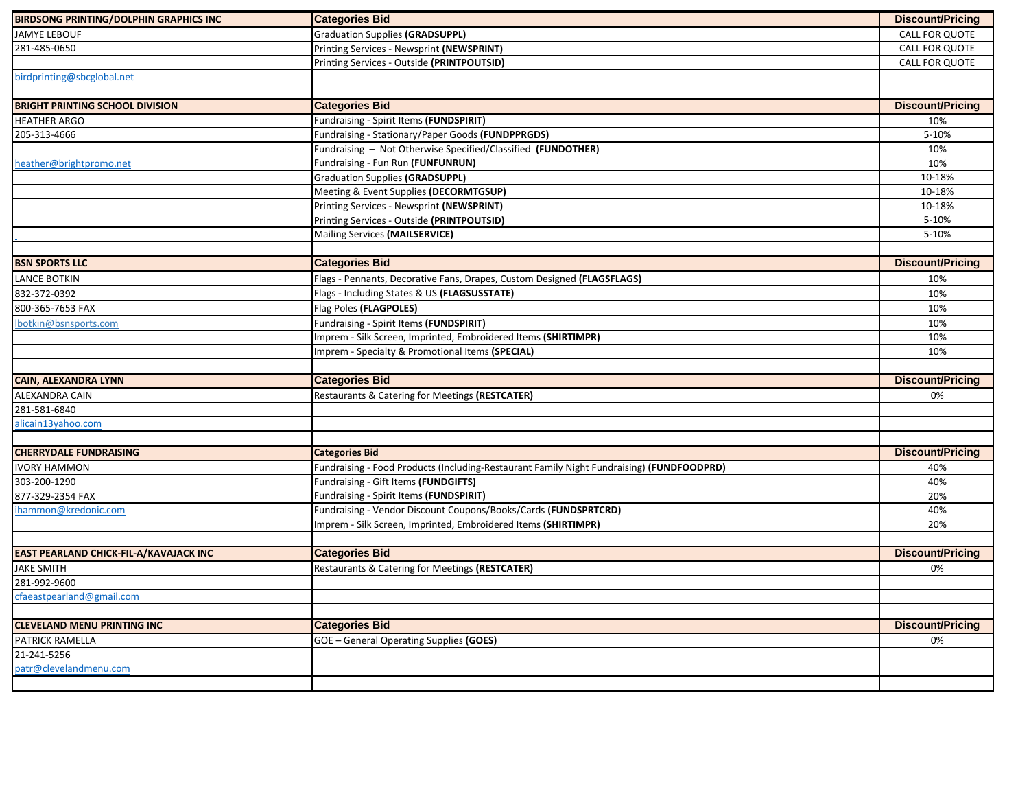| <b>BIRDSONG PRINTING/DOLPHIN GRAPHICS INC</b> | <b>Categories Bid</b>                                                                     | <b>Discount/Pricing</b> |
|-----------------------------------------------|-------------------------------------------------------------------------------------------|-------------------------|
| <b>JAMYE LEBOUF</b>                           | <b>Graduation Supplies (GRADSUPPL)</b>                                                    | <b>CALL FOR QUOTE</b>   |
| 281-485-0650                                  | Printing Services - Newsprint (NEWSPRINT)                                                 | CALL FOR QUOTE          |
|                                               | Printing Services - Outside (PRINTPOUTSID)                                                | CALL FOR QUOTE          |
| birdprinting@sbcglobal.net                    |                                                                                           |                         |
|                                               |                                                                                           |                         |
| <b>BRIGHT PRINTING SCHOOL DIVISION</b>        | <b>Categories Bid</b>                                                                     | <b>Discount/Pricing</b> |
| <b>HEATHER ARGO</b>                           | Fundraising - Spirit Items (FUNDSPIRIT)                                                   | 10%                     |
| 205-313-4666                                  | Fundraising - Stationary/Paper Goods (FUNDPPRGDS)                                         | 5-10%                   |
|                                               | Fundraising - Not Otherwise Specified/Classified (FUNDOTHER)                              | 10%                     |
| heather@brightpromo.net                       | Fundraising - Fun Run (FUNFUNRUN)                                                         | 10%                     |
|                                               | <b>Graduation Supplies (GRADSUPPL)</b>                                                    | 10-18%                  |
|                                               | Meeting & Event Supplies (DECORMTGSUP)                                                    | 10-18%                  |
|                                               | Printing Services - Newsprint (NEWSPRINT)                                                 | 10-18%                  |
|                                               | Printing Services - Outside (PRINTPOUTSID)                                                | 5-10%                   |
|                                               | Mailing Services (MAILSERVICE)                                                            | 5-10%                   |
|                                               |                                                                                           |                         |
| <b>BSN SPORTS LLC</b>                         | <b>Categories Bid</b>                                                                     | <b>Discount/Pricing</b> |
| <b>LANCE BOTKIN</b>                           | Flags - Pennants, Decorative Fans, Drapes, Custom Designed (FLAGSFLAGS)                   | 10%                     |
| 832-372-0392                                  | Flags - Including States & US (FLAGSUSSTATE)                                              | 10%                     |
| 800-365-7653 FAX                              | Flag Poles (FLAGPOLES)                                                                    | 10%                     |
| lbotkin@bsnsports.com                         | Fundraising - Spirit Items (FUNDSPIRIT)                                                   | 10%                     |
|                                               | Imprem - Silk Screen, Imprinted, Embroidered Items (SHIRTIMPR)                            | 10%                     |
|                                               | Imprem - Specialty & Promotional Items (SPECIAL)                                          | 10%                     |
|                                               |                                                                                           |                         |
| <b>CAIN, ALEXANDRA LYNN</b>                   | <b>Categories Bid</b>                                                                     | <b>Discount/Pricing</b> |
| ALEXANDRA CAIN                                | Restaurants & Catering for Meetings (RESTCATER)                                           | 0%                      |
| 281-581-6840                                  |                                                                                           |                         |
| alicain13yahoo.com                            |                                                                                           |                         |
|                                               |                                                                                           |                         |
| <b>CHERRYDALE FUNDRAISING</b>                 | <b>Categories Bid</b>                                                                     | <b>Discount/Pricing</b> |
| <b>IVORY HAMMON</b><br>303-200-1290           |                                                                                           |                         |
|                                               | Fundraising - Food Products (Including-Restaurant Family Night Fundraising) (FUNDFOODPRD) | 40%                     |
|                                               | Fundraising - Gift Items (FUNDGIFTS)                                                      | 40%                     |
| 877-329-2354 FAX                              | Fundraising - Spirit Items (FUNDSPIRIT)                                                   | 20%                     |
| ihammon@kredonic.com                          | Fundraising - Vendor Discount Coupons/Books/Cards (FUNDSPRTCRD)                           | 40%                     |
|                                               | Imprem - Silk Screen, Imprinted, Embroidered Items (SHIRTIMPR)                            | 20%                     |
|                                               |                                                                                           |                         |
| EAST PEARLAND CHICK-FIL-A/KAVAJACK INC        | <b>Categories Bid</b>                                                                     | <b>Discount/Pricing</b> |
| <b>JAKE SMITH</b>                             | Restaurants & Catering for Meetings (RESTCATER)                                           | 0%                      |
| 281-992-9600                                  |                                                                                           |                         |
| <u>chaeastpearland@gmail.com</u>              |                                                                                           |                         |
|                                               |                                                                                           |                         |
| <b>CLEVELAND MENU PRINTING INC</b>            | <b>Categories Bid</b>                                                                     | <b>Discount/Pricing</b> |
| PATRICK RAMELLA                               | GOE - General Operating Supplies (GOES)                                                   | 0%                      |
| 21-241-5256<br>patr@clevelandmenu.com         |                                                                                           |                         |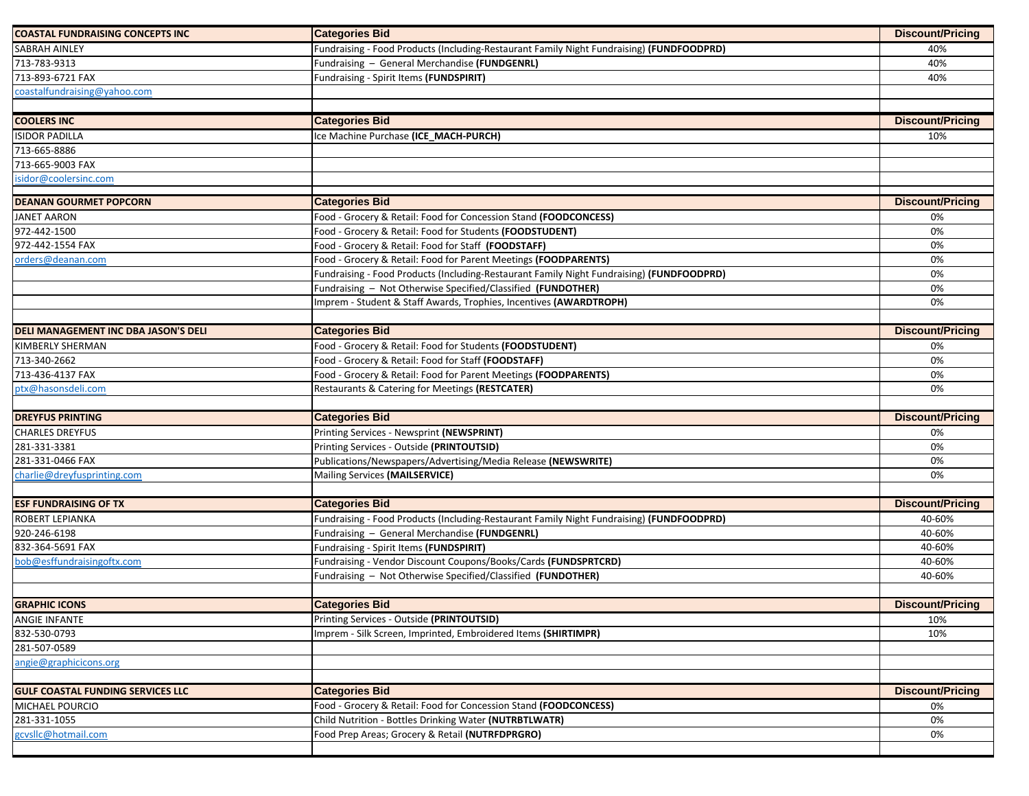| <b>COASTAL FUNDRAISING CONCEPTS INC</b>                      | <b>Categories Bid</b>                                                                     | <b>Discount/Pricing</b> |
|--------------------------------------------------------------|-------------------------------------------------------------------------------------------|-------------------------|
| <b>SABRAH AINLEY</b>                                         | Fundraising - Food Products (Including-Restaurant Family Night Fundraising) (FUNDFOODPRD) | 40%                     |
| 713-783-9313                                                 | Fundraising - General Merchandise (FUNDGENRL)                                             | 40%                     |
| 713-893-6721 FAX                                             | Fundraising - Spirit Items (FUNDSPIRIT)                                                   | 40%                     |
| coastalfundraising@yahoo.com                                 |                                                                                           |                         |
|                                                              |                                                                                           |                         |
| <b>COOLERS INC</b>                                           | <b>Categories Bid</b>                                                                     | <b>Discount/Pricing</b> |
| <b>ISIDOR PADILLA</b>                                        | Ice Machine Purchase (ICE MACH-PURCH)                                                     | 10%                     |
| 713-665-8886                                                 |                                                                                           |                         |
| 713-665-9003 FAX                                             |                                                                                           |                         |
| isidor@coolersinc.com                                        |                                                                                           |                         |
|                                                              |                                                                                           |                         |
| <b>DEANAN GOURMET POPCORN</b>                                | <b>Categories Bid</b>                                                                     | <b>Discount/Pricing</b> |
| <b>JANET AARON</b>                                           | Food - Grocery & Retail: Food for Concession Stand (FOODCONCESS)                          | 0%                      |
| 972-442-1500                                                 | Food - Grocery & Retail: Food for Students (FOODSTUDENT)                                  | 0%                      |
| 972-442-1554 FAX                                             | Food - Grocery & Retail: Food for Staff (FOODSTAFF)                                       | 0%                      |
| orders@deanan.com                                            | Food - Grocery & Retail: Food for Parent Meetings (FOODPARENTS)                           | 0%                      |
|                                                              | Fundraising - Food Products (Including-Restaurant Family Night Fundraising) (FUNDFOODPRD) | 0%                      |
|                                                              | Fundraising - Not Otherwise Specified/Classified (FUNDOTHER)                              | 0%                      |
|                                                              | Imprem - Student & Staff Awards, Trophies, Incentives (AWARDTROPH)                        | 0%                      |
|                                                              |                                                                                           |                         |
| DELI MANAGEMENT INC DBA JASON'S DELI                         | <b>Categories Bid</b>                                                                     | <b>Discount/Pricing</b> |
| <b>KIMBERLY SHERMAN</b>                                      | Food - Grocery & Retail: Food for Students (FOODSTUDENT)                                  | 0%                      |
| 713-340-2662                                                 | Food - Grocery & Retail: Food for Staff (FOODSTAFF)                                       | 0%                      |
| 713-436-4137 FAX                                             | Food - Grocery & Retail: Food for Parent Meetings (FOODPARENTS)                           | 0%                      |
| ptx@hasonsdeli.com                                           | Restaurants & Catering for Meetings (RESTCATER)                                           | 0%                      |
|                                                              |                                                                                           |                         |
| <b>DREYFUS PRINTING</b>                                      | <b>Categories Bid</b>                                                                     | <b>Discount/Pricing</b> |
| <b>CHARLES DREYFUS</b>                                       | Printing Services - Newsprint (NEWSPRINT)                                                 | 0%                      |
| 281-331-3381                                                 | Printing Services - Outside (PRINTOUTSID)                                                 | 0%                      |
| 281-331-0466 FAX                                             | Publications/Newspapers/Advertising/Media Release (NEWSWRITE)                             | 0%                      |
| charlie@dreyfusprinting.com                                  | Mailing Services (MAILSERVICE)                                                            | 0%                      |
|                                                              |                                                                                           |                         |
| <b>ESF FUNDRAISING OF TX</b>                                 | <b>Categories Bid</b>                                                                     | <b>Discount/Pricing</b> |
| ROBERT LEPIANKA                                              | Fundraising - Food Products (Including-Restaurant Family Night Fundraising) (FUNDFOODPRD) | 40-60%                  |
| 920-246-6198                                                 | Fundraising - General Merchandise (FUNDGENRL)                                             | 40-60%                  |
| 832-364-5691 FAX                                             | Fundraising - Spirit Items (FUNDSPIRIT)                                                   | 40-60%                  |
| bob@esffundraisingoftx.com                                   | Fundraising - Vendor Discount Coupons/Books/Cards (FUNDSPRTCRD)                           | 40-60%                  |
|                                                              |                                                                                           |                         |
|                                                              | Fundraising - Not Otherwise Specified/Classified (FUNDOTHER)                              | 40-60%                  |
|                                                              |                                                                                           |                         |
|                                                              | <b>Categories Bid</b>                                                                     | <b>Discount/Pricing</b> |
|                                                              | Printing Services - Outside (PRINTOUTSID)                                                 | 10%                     |
| <b>GRAPHIC ICONS</b><br><b>ANGIE INFANTE</b><br>832-530-0793 | Imprem - Silk Screen, Imprinted, Embroidered Items (SHIRTIMPR)                            | 10%                     |
| 281-507-0589                                                 |                                                                                           |                         |
| angie@graphicicons.org                                       |                                                                                           |                         |
|                                                              |                                                                                           |                         |
| <b>GULF COASTAL FUNDING SERVICES LLC</b>                     | <b>Categories Bid</b>                                                                     | <b>Discount/Pricing</b> |
| MICHAEL POURCIO                                              | Food - Grocery & Retail: Food for Concession Stand (FOODCONCESS)                          | 0%                      |
| 281-331-1055                                                 | Child Nutrition - Bottles Drinking Water (NUTRBTLWATR)                                    | 0%                      |
| gcvsllc@hotmail.com                                          | Food Prep Areas; Grocery & Retail (NUTRFDPRGRO)                                           | 0%                      |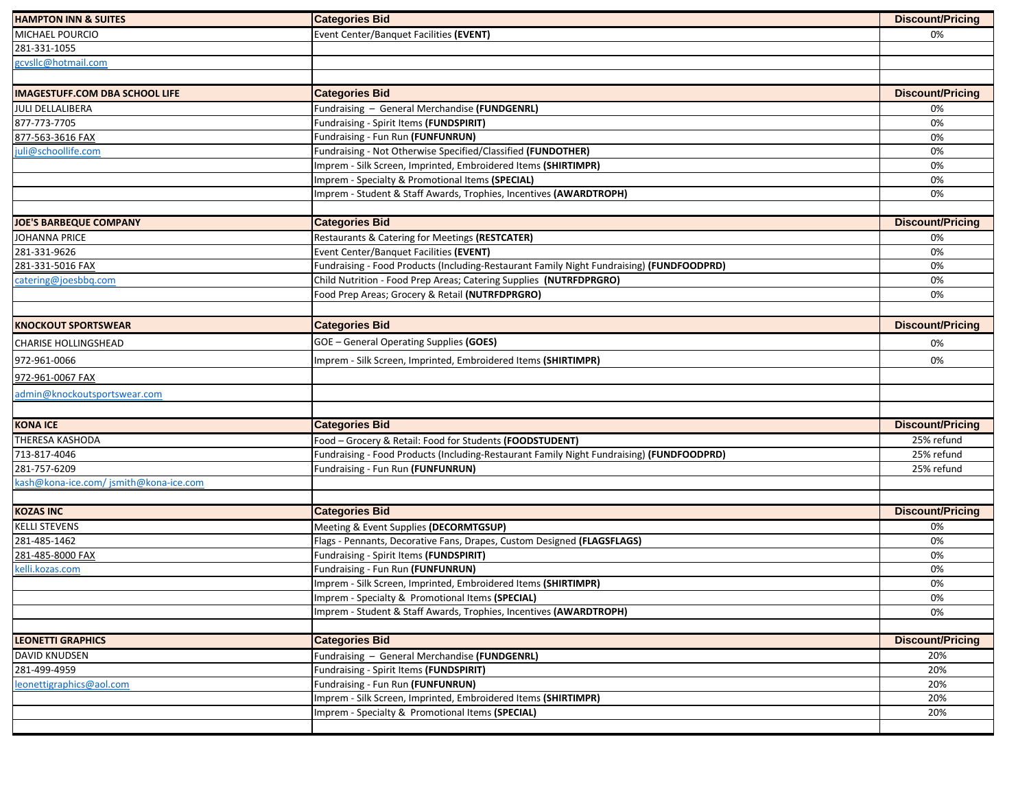| <b>HAMPTON INN &amp; SUITES</b>       | <b>Categories Bid</b>                                                                     | <b>Discount/Pricing</b> |
|---------------------------------------|-------------------------------------------------------------------------------------------|-------------------------|
| MICHAEL POURCIO                       | Event Center/Banquet Facilities (EVENT)                                                   | 0%                      |
| 281-331-1055                          |                                                                                           |                         |
| gcvsllc@hotmail.com                   |                                                                                           |                         |
|                                       |                                                                                           |                         |
| <b>IMAGESTUFF.COM DBA SCHOOL LIFE</b> | <b>Categories Bid</b>                                                                     | <b>Discount/Pricing</b> |
| JULI DELLALIBERA                      | Fundraising - General Merchandise (FUNDGENRL)                                             | 0%                      |
| 877-773-7705                          | Fundraising - Spirit Items (FUNDSPIRIT)                                                   | 0%                      |
| 877-563-3616 FAX                      | Fundraising - Fun Run (FUNFUNRUN)                                                         | 0%                      |
| juli@schoollife.com                   | Fundraising - Not Otherwise Specified/Classified (FUNDOTHER)                              | 0%                      |
|                                       | Imprem - Silk Screen, Imprinted, Embroidered Items (SHIRTIMPR)                            | 0%                      |
|                                       | Imprem - Specialty & Promotional Items (SPECIAL)                                          | 0%                      |
|                                       | Imprem - Student & Staff Awards, Trophies, Incentives (AWARDTROPH)                        | 0%                      |
|                                       |                                                                                           |                         |
| <b>JOE'S BARBEQUE COMPANY</b>         | <b>Categories Bid</b>                                                                     | <b>Discount/Pricing</b> |
| <b>JOHANNA PRICE</b>                  | Restaurants & Catering for Meetings (RESTCATER)                                           | 0%                      |
| 281-331-9626                          | Event Center/Banquet Facilities (EVENT)                                                   | 0%                      |
| 281-331-5016 FAX                      | Fundraising - Food Products (Including-Restaurant Family Night Fundraising) (FUNDFOODPRD) | 0%                      |
| catering@joesbbq.com                  | Child Nutrition - Food Prep Areas; Catering Supplies (NUTRFDPRGRO)                        | 0%                      |
|                                       | Food Prep Areas; Grocery & Retail (NUTRFDPRGRO)                                           | 0%                      |
|                                       |                                                                                           |                         |
| <b>KNOCKOUT SPORTSWEAR</b>            | <b>Categories Bid</b>                                                                     | <b>Discount/Pricing</b> |
| <b>CHARISE HOLLINGSHEAD</b>           | GOE - General Operating Supplies (GOES)                                                   | 0%                      |
| 972-961-0066                          | Imprem - Silk Screen, Imprinted, Embroidered Items (SHIRTIMPR)                            | 0%                      |
| 972-961-0067 FAX                      |                                                                                           |                         |
| admin@knockoutsportswear.com          |                                                                                           |                         |
|                                       |                                                                                           |                         |
| <b>KONA ICE</b>                       | <b>Categories Bid</b>                                                                     | <b>Discount/Pricing</b> |
| <b>THERESA KASHODA</b>                | Food - Grocery & Retail: Food for Students (FOODSTUDENT)                                  | 25% refund              |
| 713-817-4046                          | Fundraising - Food Products (Including-Restaurant Family Night Fundraising) (FUNDFOODPRD) | 25% refund              |
| 281-757-6209                          | Fundraising - Fun Run (FUNFUNRUN)                                                         | 25% refund              |
| kash@kona-ice.com/jsmith@kona-ice.com |                                                                                           |                         |
|                                       |                                                                                           |                         |
| <b>KOZAS INC</b>                      | <b>Categories Bid</b>                                                                     | <b>Discount/Pricing</b> |
| <b>KELLI STEVENS</b>                  | Meeting & Event Supplies (DECORMTGSUP)                                                    | 0%                      |
| 281-485-1462                          | Flags - Pennants, Decorative Fans, Drapes, Custom Designed (FLAGSFLAGS)                   | 0%                      |
| 281-485-8000 FAX                      | Fundraising - Spirit Items (FUNDSPIRIT)                                                   | 0%                      |
| kelli.kozas.com                       | Fundraising - Fun Run (FUNFUNRUN)                                                         | 0%                      |
|                                       | Imprem - Silk Screen, Imprinted, Embroidered Items (SHIRTIMPR)                            | 0%                      |
|                                       | Imprem - Specialty & Promotional Items (SPECIAL)                                          | 0%                      |
|                                       | Imprem - Student & Staff Awards, Trophies, Incentives (AWARDTROPH)                        | 0%                      |
|                                       |                                                                                           |                         |
| <b>LEONETTI GRAPHICS</b>              | <b>Categories Bid</b>                                                                     | <b>Discount/Pricing</b> |
| DAVID KNUDSEN                         | Fundraising - General Merchandise (FUNDGENRL)                                             | 20%                     |
| 281-499-4959                          | Fundraising - Spirit Items (FUNDSPIRIT)                                                   | 20%                     |
| leonettigraphics@aol.com              | Fundraising - Fun Run (FUNFUNRUN)                                                         | 20%                     |
|                                       | Imprem - Silk Screen, Imprinted, Embroidered Items (SHIRTIMPR)                            | 20%                     |
|                                       | Imprem - Specialty & Promotional Items (SPECIAL)                                          | 20%                     |
|                                       |                                                                                           |                         |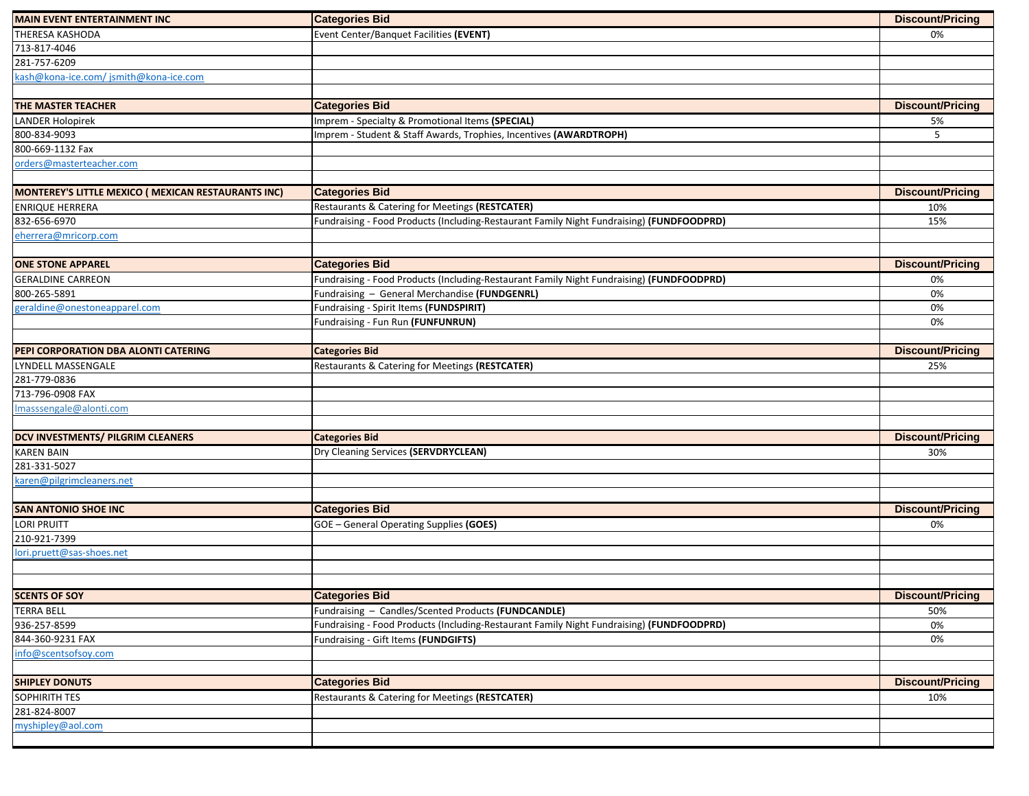| <b>MAIN EVENT ENTERTAINMENT INC</b>                 | <b>Categories Bid</b>                                                                                                                            | <b>Discount/Pricing</b> |
|-----------------------------------------------------|--------------------------------------------------------------------------------------------------------------------------------------------------|-------------------------|
| THERESA KASHODA                                     | Event Center/Banquet Facilities (EVENT)                                                                                                          | 0%                      |
| 713-817-4046                                        |                                                                                                                                                  |                         |
| 281-757-6209                                        |                                                                                                                                                  |                         |
| kash@kona-ice.com/jsmith@kona-ice.com               |                                                                                                                                                  |                         |
|                                                     |                                                                                                                                                  |                         |
| THE MASTER TEACHER                                  | <b>Categories Bid</b>                                                                                                                            | <b>Discount/Pricing</b> |
| <b>LANDER Holopirek</b>                             | Imprem - Specialty & Promotional Items (SPECIAL)                                                                                                 | 5%                      |
| 800-834-9093                                        | Imprem - Student & Staff Awards, Trophies, Incentives (AWARDTROPH)                                                                               | 5                       |
| 800-669-1132 Fax                                    |                                                                                                                                                  |                         |
| orders@masterteacher.com                            |                                                                                                                                                  |                         |
|                                                     |                                                                                                                                                  |                         |
| MONTEREY'S LITTLE MEXICO ( MEXICAN RESTAURANTS INC) | <b>Categories Bid</b>                                                                                                                            | <b>Discount/Pricing</b> |
| ENRIQUE HERRERA                                     | Restaurants & Catering for Meetings (RESTCATER)                                                                                                  | 10%                     |
| 832-656-6970                                        | Fundraising - Food Products (Including-Restaurant Family Night Fundraising) (FUNDFOODPRD)                                                        | 15%                     |
| eherrera@mricorp.com                                |                                                                                                                                                  |                         |
|                                                     |                                                                                                                                                  |                         |
| <b>ONE STONE APPAREL</b>                            | <b>Categories Bid</b>                                                                                                                            | <b>Discount/Pricing</b> |
| <b>GERALDINE CARREON</b>                            | Fundraising - Food Products (Including-Restaurant Family Night Fundraising) (FUNDFOODPRD)                                                        | 0%                      |
| 800-265-5891                                        | Fundraising - General Merchandise (FUNDGENRL)                                                                                                    | 0%                      |
| geraldine@onestoneapparel.com                       | Fundraising - Spirit Items (FUNDSPIRIT)                                                                                                          | 0%                      |
|                                                     | Fundraising - Fun Run (FUNFUNRUN)                                                                                                                | 0%                      |
|                                                     |                                                                                                                                                  |                         |
| PEPI CORPORATION DBA ALONTI CATERING                | <b>Categories Bid</b>                                                                                                                            | <b>Discount/Pricing</b> |
| LYNDELL MASSENGALE                                  | Restaurants & Catering for Meetings (RESTCATER)                                                                                                  | 25%                     |
| 281-779-0836                                        |                                                                                                                                                  |                         |
| 713-796-0908 FAX                                    |                                                                                                                                                  |                         |
| Imasssengale@alonti.com                             |                                                                                                                                                  |                         |
|                                                     |                                                                                                                                                  |                         |
| DCV INVESTMENTS/ PILGRIM CLEANERS                   | <b>Categories Bid</b>                                                                                                                            | <b>Discount/Pricing</b> |
| <b>KAREN BAIN</b>                                   | Dry Cleaning Services (SERVDRYCLEAN)                                                                                                             | 30%                     |
| 281-331-5027                                        |                                                                                                                                                  |                         |
| karen@pilgrimcleaners.net                           |                                                                                                                                                  |                         |
|                                                     |                                                                                                                                                  |                         |
| <b>SAN ANTONIO SHOE INC</b>                         | <b>Categories Bid</b>                                                                                                                            | <b>Discount/Pricing</b> |
| <b>LORI PRUITT</b>                                  | GOE - General Operating Supplies (GOES)                                                                                                          | 0%                      |
| 210-921-7399                                        |                                                                                                                                                  |                         |
| lori.pruett@sas-shoes.net                           |                                                                                                                                                  |                         |
|                                                     |                                                                                                                                                  |                         |
| <b>SCENTS OF SOY</b>                                | <b>Categories Bid</b>                                                                                                                            | <b>Discount/Pricing</b> |
|                                                     |                                                                                                                                                  |                         |
| <b>TERRA BELL</b><br>936-257-8599                   | Fundraising - Candles/Scented Products (FUNDCANDLE)<br>Fundraising - Food Products (Including-Restaurant Family Night Fundraising) (FUNDFOODPRD) | 50%<br>0%               |
| 844-360-9231 FAX                                    | Fundraising - Gift Items (FUNDGIFTS)                                                                                                             | 0%                      |
| info@scentsofsoy.com                                |                                                                                                                                                  |                         |
|                                                     |                                                                                                                                                  |                         |
| <b>SHIPLEY DONUTS</b>                               | <b>Categories Bid</b>                                                                                                                            | <b>Discount/Pricing</b> |
| SOPHIRITH TES                                       | Restaurants & Catering for Meetings (RESTCATER)                                                                                                  | 10%                     |
| 281-824-8007                                        |                                                                                                                                                  |                         |
| myshipley@aol.com                                   |                                                                                                                                                  |                         |
|                                                     |                                                                                                                                                  |                         |
|                                                     |                                                                                                                                                  |                         |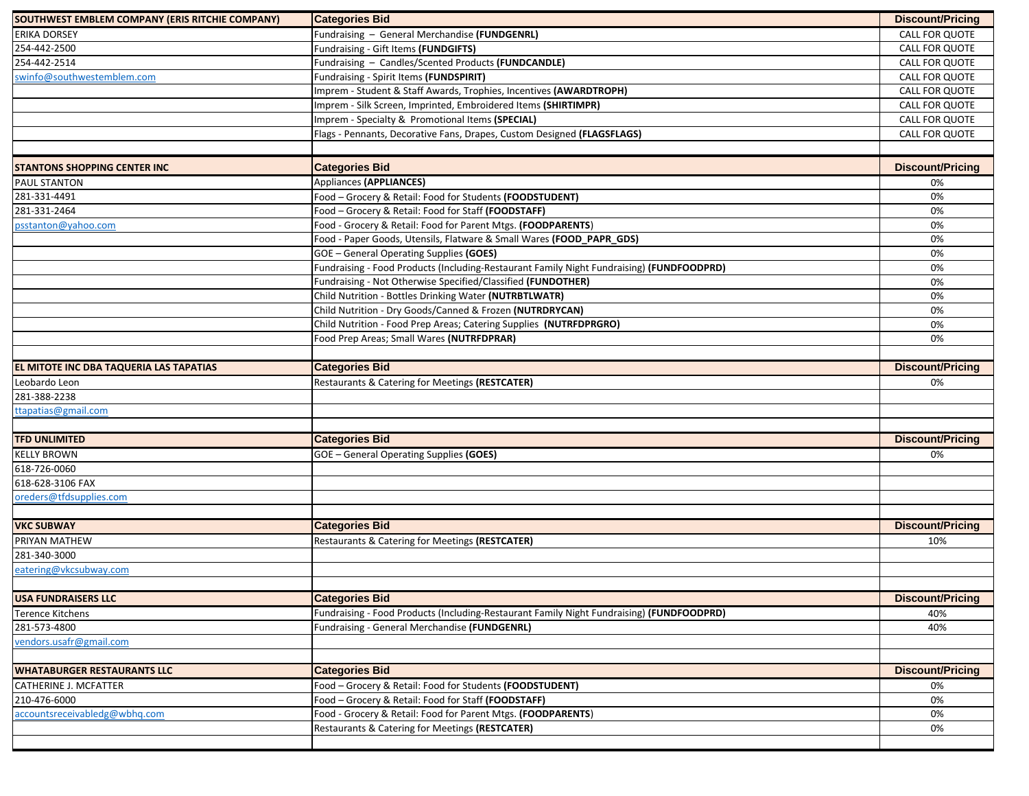| SOUTHWEST EMBLEM COMPANY (ERIS RITCHIE COMPANY) | <b>Categories Bid</b>                                                                     | <b>Discount/Pricing</b> |
|-------------------------------------------------|-------------------------------------------------------------------------------------------|-------------------------|
| <b>ERIKA DORSEY</b>                             | Fundraising - General Merchandise (FUNDGENRL)                                             | CALL FOR QUOTE          |
| 254-442-2500                                    | Fundraising - Gift Items (FUNDGIFTS)                                                      | CALL FOR QUOTE          |
| 254-442-2514                                    | Fundraising - Candles/Scented Products (FUNDCANDLE)                                       | CALL FOR QUOTE          |
| swinfo@southwestemblem.com                      | Fundraising - Spirit Items (FUNDSPIRIT)                                                   | CALL FOR QUOTE          |
|                                                 | Imprem - Student & Staff Awards, Trophies, Incentives (AWARDTROPH)                        | CALL FOR QUOTE          |
|                                                 | Imprem - Silk Screen, Imprinted, Embroidered Items (SHIRTIMPR)                            | CALL FOR QUOTE          |
|                                                 | Imprem - Specialty & Promotional Items (SPECIAL)                                          | CALL FOR QUOTE          |
|                                                 | Flags - Pennants, Decorative Fans, Drapes, Custom Designed (FLAGSFLAGS)                   | CALL FOR QUOTE          |
|                                                 |                                                                                           |                         |
| <b>STANTONS SHOPPING CENTER INC</b>             | <b>Categories Bid</b>                                                                     | <b>Discount/Pricing</b> |
| PAUL STANTON                                    | Appliances (APPLIANCES)                                                                   | 0%                      |
| 281-331-4491                                    | Food - Grocery & Retail: Food for Students (FOODSTUDENT)                                  | 0%                      |
| 281-331-2464                                    | Food - Grocery & Retail: Food for Staff (FOODSTAFF)                                       | 0%                      |
| psstanton@yahoo.com                             | Food - Grocery & Retail: Food for Parent Mtgs. (FOODPARENTS)                              | 0%                      |
|                                                 | Food - Paper Goods, Utensils, Flatware & Small Wares (FOOD_PAPR_GDS)                      | 0%                      |
|                                                 | <b>GOE</b> - General Operating Supplies (GOES)                                            | 0%                      |
|                                                 | Fundraising - Food Products (Including-Restaurant Family Night Fundraising) (FUNDFOODPRD) | 0%                      |
|                                                 | Fundraising - Not Otherwise Specified/Classified (FUNDOTHER)                              | 0%                      |
|                                                 | Child Nutrition - Bottles Drinking Water (NUTRBTLWATR)                                    | 0%                      |
|                                                 | Child Nutrition - Dry Goods/Canned & Frozen (NUTRDRYCAN)                                  | 0%                      |
|                                                 | Child Nutrition - Food Prep Areas; Catering Supplies (NUTRFDPRGRO)                        | 0%                      |
|                                                 | Food Prep Areas; Small Wares (NUTRFDPRAR)                                                 | 0%                      |
|                                                 |                                                                                           |                         |
| EL MITOTE INC DBA TAQUERIA LAS TAPATIAS         | <b>Categories Bid</b>                                                                     | <b>Discount/Pricing</b> |
| Leobardo Leon                                   | Restaurants & Catering for Meetings (RESTCATER)                                           | 0%                      |
| 281-388-2238                                    |                                                                                           |                         |
| ttapatias@gmail.com                             |                                                                                           |                         |
|                                                 |                                                                                           |                         |
| <b>TFD UNLIMITED</b>                            | <b>Categories Bid</b>                                                                     | <b>Discount/Pricing</b> |
| <b>KELLY BROWN</b>                              | <b>GOE</b> - General Operating Supplies (GOES)                                            | 0%                      |
| 618-726-0060                                    |                                                                                           |                         |
| 618-628-3106 FAX                                |                                                                                           |                         |
| oreders@tfdsupplies.com                         |                                                                                           |                         |
|                                                 |                                                                                           |                         |
| <b>VKC SUBWAY</b>                               | <b>Categories Bid</b>                                                                     | <b>Discount/Pricing</b> |
| PRIYAN MATHEW                                   | Restaurants & Catering for Meetings (RESTCATER)                                           | 10%                     |
| 281-340-3000                                    |                                                                                           |                         |
| eatering@vkcsubway.com                          |                                                                                           |                         |
| USA FUNDRAISERS LLC                             | <b>Categories Bid</b>                                                                     | <b>Discount/Pricing</b> |
| Terence Kitchens                                | Fundraising - Food Products (Including-Restaurant Family Night Fundraising) (FUNDFOODPRD) | 40%                     |
| 281-573-4800                                    | Fundraising - General Merchandise (FUNDGENRL)                                             | 40%                     |
| vendors.usafr@gmail.com                         |                                                                                           |                         |
|                                                 |                                                                                           |                         |
| <b>WHATABURGER RESTAURANTS LLC</b>              | <b>Categories Bid</b>                                                                     | <b>Discount/Pricing</b> |
| CATHERINE J. MCFATTER                           | Food - Grocery & Retail: Food for Students (FOODSTUDENT)                                  | 0%                      |
| 210-476-6000                                    | Food - Grocery & Retail: Food for Staff (FOODSTAFF)                                       | 0%                      |
| accountsreceivabledg@wbhq.com                   | Food - Grocery & Retail: Food for Parent Mtgs. (FOODPARENTS)                              | 0%                      |
|                                                 | Restaurants & Catering for Meetings (RESTCATER)                                           | 0%                      |
|                                                 |                                                                                           |                         |